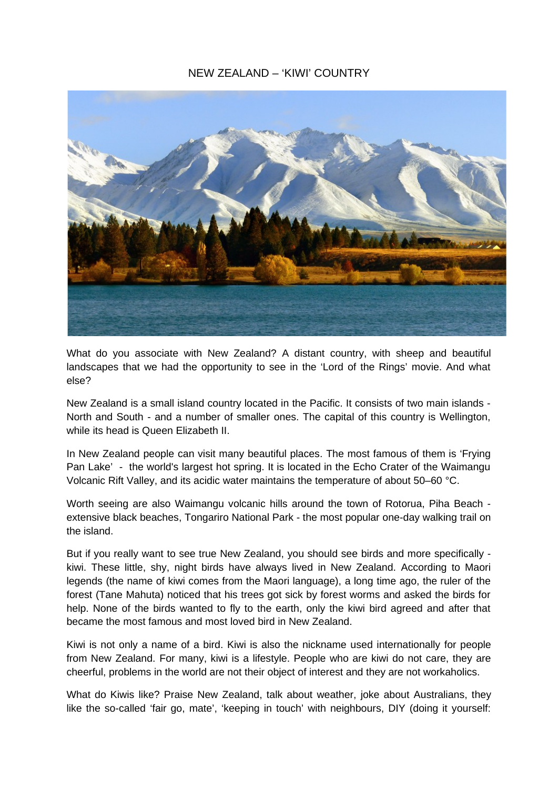## NEW ZEALAND – 'KIWI' COUNTRY



What do you associate with New Zealand? A distant country, with sheep and beautiful landscapes that we had the opportunity to see in the 'Lord of the Rings' movie. And what else?

New Zealand is a small island country located in the Pacific. It consists of two main islands - North and South - and a number of smaller ones. The capital of this country is Wellington, while its head is Queen Elizabeth II.

In New Zealand people can visit many beautiful places. The most famous of them is 'Frying Pan Lake' - the world's largest hot spring. It is located in the Echo Crater of the Waimangu Volcanic Rift Valley, and its acidic water maintains the temperature of about 50–60 °C.

Worth seeing are also Waimangu volcanic hills around the town of Rotorua, Piha Beach extensive black beaches, Tongariro National Park - the most popular one-day walking trail on the island.

But if you really want to see true New Zealand, you should see birds and more specifically kiwi. These little, shy, night birds have always lived in New Zealand. According to Maori legends (the name of kiwi comes from the Maori language), a long time ago, the ruler of the forest (Tane Mahuta) noticed that his trees got sick by forest worms and asked the birds for help. None of the birds wanted to fly to the earth, only the kiwi bird agreed and after that became the most famous and most loved bird in New Zealand.

Kiwi is not only a name of a bird. Kiwi is also the nickname used internationally for people from New Zealand. For many, kiwi is a lifestyle. People who are kiwi do not care, they are cheerful, problems in the world are not their object of interest and they are not workaholics.

What do Kiwis like? Praise New Zealand, talk about weather, joke about Australians, they like the so-called 'fair go, mate', 'keeping in touch' with neighbours, DIY (doing it yourself: